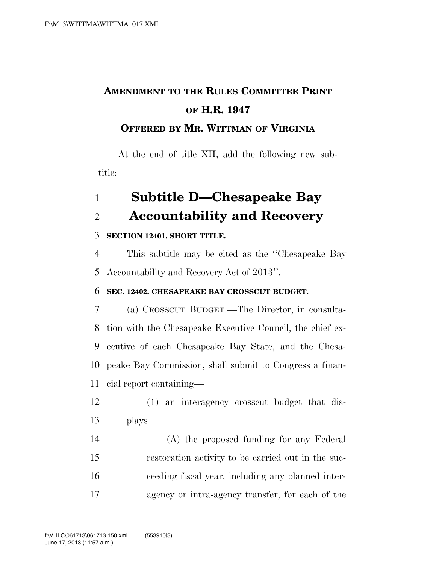## **AMENDMENT TO THE RULES COMMITTEE PRINT OF H.R. 1947**

#### **OFFERED BY MR. WITTMAN OF VIRGINIA**

At the end of title XII, add the following new subtitle:

# **Subtitle D—Chesapeake Bay Accountability and Recovery**

#### **SECTION 12401. SHORT TITLE.**

 This subtitle may be cited as the ''Chesapeake Bay Accountability and Recovery Act of 2013''.

#### **SEC. 12402. CHESAPEAKE BAY CROSSCUT BUDGET.**

 (a) CROSSCUT BUDGET.—The Director, in consulta- tion with the Chesapeake Executive Council, the chief ex- ecutive of each Chesapeake Bay State, and the Chesa- peake Bay Commission, shall submit to Congress a finan-cial report containing—

- (1) an interagency crosscut budget that dis-plays—
- (A) the proposed funding for any Federal restoration activity to be carried out in the suc- ceeding fiscal year, including any planned inter-agency or intra-agency transfer, for each of the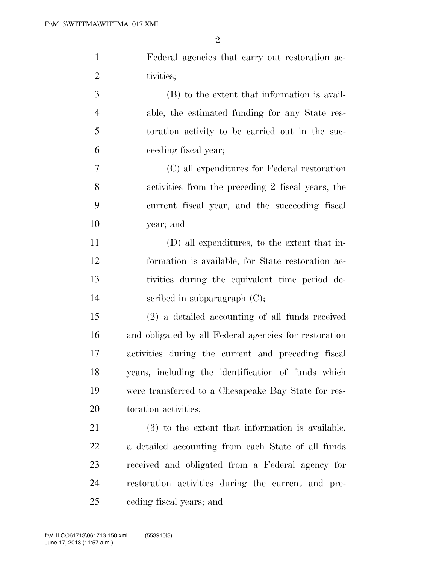| $\mathbf{1}$   | Federal agencies that carry out restoration ac-       |
|----------------|-------------------------------------------------------|
| $\overline{2}$ | tivities;                                             |
| 3              | (B) to the extent that information is avail-          |
| $\overline{4}$ | able, the estimated funding for any State res-        |
| 5              | toration activity to be carried out in the suc-       |
| 6              | ceeding fiscal year;                                  |
| 7              | (C) all expenditures for Federal restoration          |
| 8              | activities from the preceding 2 fiscal years, the     |
| 9              | current fiscal year, and the succeeding fiscal        |
| 10             | year; and                                             |
| 11             | (D) all expenditures, to the extent that in-          |
| 12             | formation is available, for State restoration ac-     |
| 13             | tivities during the equivalent time period de-        |
| 14             | scribed in subparagraph $(C)$ ;                       |
| 15             | $(2)$ a detailed accounting of all funds received     |
| 16             | and obligated by all Federal agencies for restoration |
| 17             | activities during the current and preceding fiscal    |
| 18             | years, including the identification of funds which    |
| 19             | were transferred to a Chesapeake Bay State for res-   |
| 20             | toration activities;                                  |
| 21             | $(3)$ to the extent that information is available,    |
| 22             | a detailed accounting from each State of all funds    |
| 23             | received and obligated from a Federal agency for      |
| 24             | restoration activities during the current and pre-    |
| 25             | ceding fiscal years; and                              |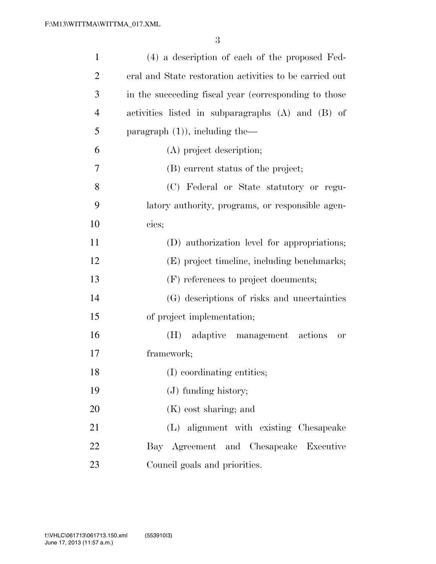| $\mathbf{1}$   | (4) a description of each of the proposed Fed-          |
|----------------|---------------------------------------------------------|
| $\overline{2}$ | eral and State restoration activities to be carried out |
| 3              | in the succeeding fiscal year (corresponding to those   |
| $\overline{4}$ | activities listed in subparagraphs (A) and (B) of       |
| 5              | paragraph $(1)$ ), including the-                       |
| 6              | (A) project description;                                |
| 7              | (B) current status of the project;                      |
| 8              | (C) Federal or State statutory or regu-                 |
| 9              | latory authority, programs, or responsible agen-        |
| 10             | cies;                                                   |
| 11             | (D) authorization level for appropriations;             |
| 12             | (E) project timeline, including benchmarks;             |
| 13             | (F) references to project documents;                    |
| 14             | (G) descriptions of risks and uncertainties             |
| 15             | of project implementation;                              |
| 16             | adaptive management actions<br>(H)<br><b>or</b>         |
| 17             | framework;                                              |
| 18             | (I) coordinating entities;                              |
| 19             | $(J)$ funding history;                                  |
| 20             | $(K)$ cost sharing; and                                 |
| 21             | (L) alignment with existing Chesapeake                  |
| 22             | Bay Agreement and Chesapeake Executive                  |
| 23             | Council goals and priorities.                           |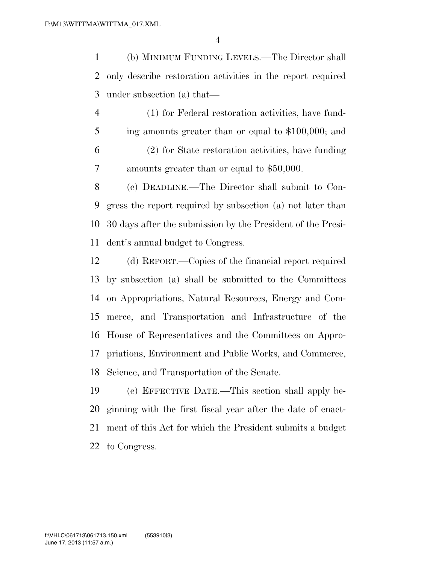(b) MINIMUM FUNDING LEVELS.—The Director shall only describe restoration activities in the report required under subsection (a) that—

 (1) for Federal restoration activities, have fund- ing amounts greater than or equal to \$100,000; and (2) for State restoration activities, have funding amounts greater than or equal to \$50,000.

 (c) DEADLINE.—The Director shall submit to Con- gress the report required by subsection (a) not later than 30 days after the submission by the President of the Presi-dent's annual budget to Congress.

 (d) REPORT.—Copies of the financial report required by subsection (a) shall be submitted to the Committees on Appropriations, Natural Resources, Energy and Com- merce, and Transportation and Infrastructure of the House of Representatives and the Committees on Appro- priations, Environment and Public Works, and Commerce, Science, and Transportation of the Senate.

 (e) EFFECTIVE DATE.—This section shall apply be- ginning with the first fiscal year after the date of enact- ment of this Act for which the President submits a budget to Congress.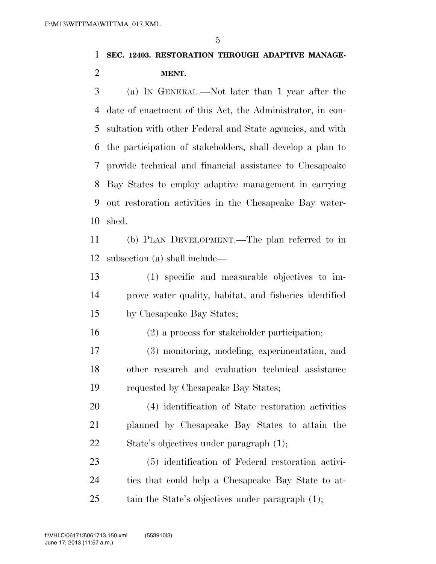### **SEC. 12403. RESTORATION THROUGH ADAPTIVE MANAGE-MENT.**

 (a) IN GENERAL.—Not later than 1 year after the date of enactment of this Act, the Administrator, in con- sultation with other Federal and State agencies, and with the participation of stakeholders, shall develop a plan to provide technical and financial assistance to Chesapeake Bay States to employ adaptive management in carrying out restoration activities in the Chesapeake Bay water-shed.

 (b) PLAN DEVELOPMENT.—The plan referred to in subsection (a) shall include—

 (1) specific and measurable objectives to im- prove water quality, habitat, and fisheries identified by Chesapeake Bay States;

(2) a process for stakeholder participation;

 (3) monitoring, modeling, experimentation, and other research and evaluation technical assistance requested by Chesapeake Bay States;

 (4) identification of State restoration activities planned by Chesapeake Bay States to attain the State's objectives under paragraph (1);

 (5) identification of Federal restoration activi- ties that could help a Chesapeake Bay State to at-25 tain the State's objectives under paragraph (1);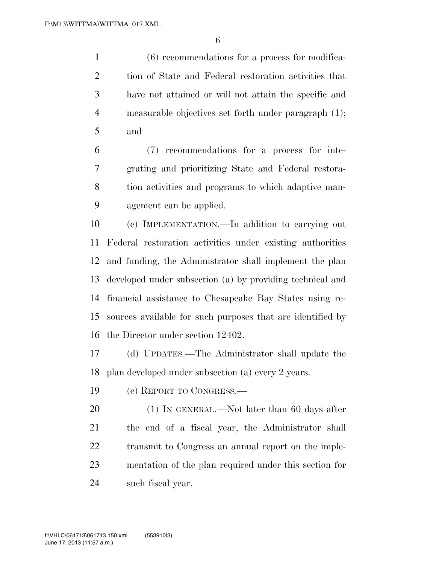(6) recommendations for a process for modifica- tion of State and Federal restoration activities that have not attained or will not attain the specific and measurable objectives set forth under paragraph (1); and

 (7) recommendations for a process for inte- grating and prioritizing State and Federal restora- tion activities and programs to which adaptive man-agement can be applied.

 (c) IMPLEMENTATION.—In addition to carrying out Federal restoration activities under existing authorities and funding, the Administrator shall implement the plan developed under subsection (a) by providing technical and financial assistance to Chesapeake Bay States using re- sources available for such purposes that are identified by the Director under section 12402.

 (d) UPDATES.—The Administrator shall update the plan developed under subsection (a) every 2 years.

(e) REPORT TO CONGRESS.—

20 (1) IN GENERAL.—Not later than 60 days after the end of a fiscal year, the Administrator shall transmit to Congress an annual report on the imple- mentation of the plan required under this section for such fiscal year.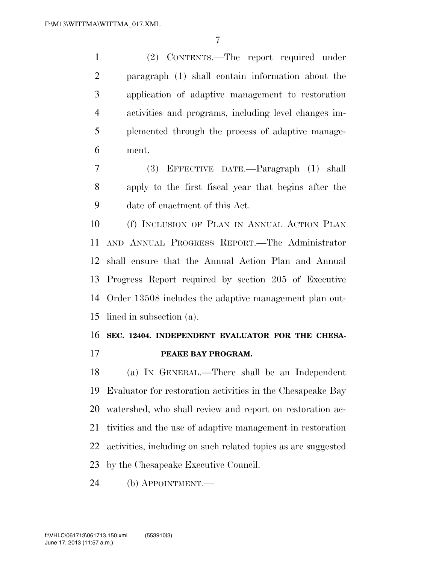(2) CONTENTS.—The report required under paragraph (1) shall contain information about the application of adaptive management to restoration activities and programs, including level changes im- plemented through the process of adaptive manage-ment.

 (3) EFFECTIVE DATE.—Paragraph (1) shall apply to the first fiscal year that begins after the date of enactment of this Act.

 (f) INCLUSION OF PLAN IN ANNUAL ACTION PLAN AND ANNUAL PROGRESS REPORT.—The Administrator shall ensure that the Annual Action Plan and Annual Progress Report required by section 205 of Executive Order 13508 includes the adaptive management plan out-lined in subsection (a).

### **SEC. 12404. INDEPENDENT EVALUATOR FOR THE CHESA-PEAKE BAY PROGRAM.**

 (a) IN GENERAL.—There shall be an Independent Evaluator for restoration activities in the Chesapeake Bay watershed, who shall review and report on restoration ac- tivities and the use of adaptive management in restoration activities, including on such related topics as are suggested by the Chesapeake Executive Council.

(b) APPOINTMENT.—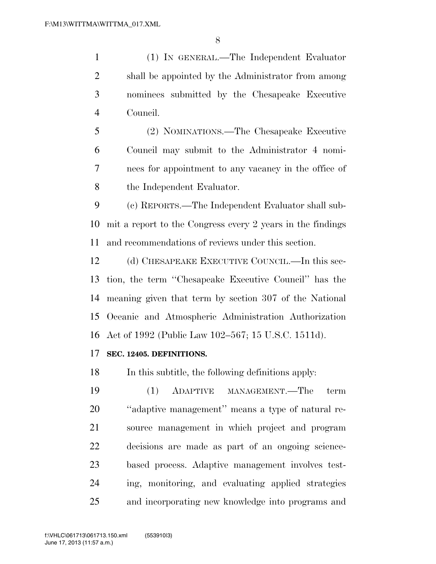(1) IN GENERAL.—The Independent Evaluator shall be appointed by the Administrator from among nominees submitted by the Chesapeake Executive Council.

 (2) NOMINATIONS.—The Chesapeake Executive Council may submit to the Administrator 4 nomi- nees for appointment to any vacancy in the office of the Independent Evaluator.

 (c) REPORTS.—The Independent Evaluator shall sub- mit a report to the Congress every 2 years in the findings and recommendations of reviews under this section.

 (d) CHESAPEAKE EXECUTIVE COUNCIL.—In this sec- tion, the term ''Chesapeake Executive Council'' has the meaning given that term by section 307 of the National Oceanic and Atmospheric Administration Authorization Act of 1992 (Public Law 102–567; 15 U.S.C. 1511d).

#### **SEC. 12405. DEFINITIONS.**

In this subtitle, the following definitions apply:

 (1) ADAPTIVE MANAGEMENT.—The term ''adaptive management'' means a type of natural re- source management in which project and program decisions are made as part of an ongoing science- based process. Adaptive management involves test- ing, monitoring, and evaluating applied strategies and incorporating new knowledge into programs and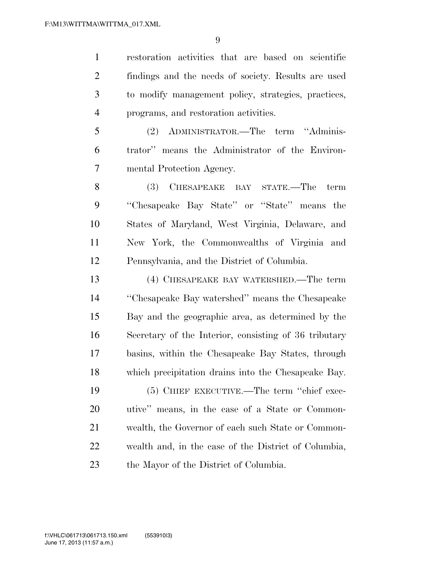restoration activities that are based on scientific findings and the needs of society. Results are used to modify management policy, strategies, practices, programs, and restoration activities.

 (2) ADMINISTRATOR.—The term ''Adminis- trator'' means the Administrator of the Environ-mental Protection Agency.

 (3) CHESAPEAKE BAY STATE.—The term ''Chesapeake Bay State'' or ''State'' means the States of Maryland, West Virginia, Delaware, and New York, the Commonwealths of Virginia and Pennsylvania, and the District of Columbia.

 (4) CHESAPEAKE BAY WATERSHED.—The term ''Chesapeake Bay watershed'' means the Chesapeake Bay and the geographic area, as determined by the Secretary of the Interior, consisting of 36 tributary basins, within the Chesapeake Bay States, through which precipitation drains into the Chesapeake Bay.

 (5) CHIEF EXECUTIVE.—The term ''chief exec- utive'' means, in the case of a State or Common- wealth, the Governor of each such State or Common- wealth and, in the case of the District of Columbia, the Mayor of the District of Columbia.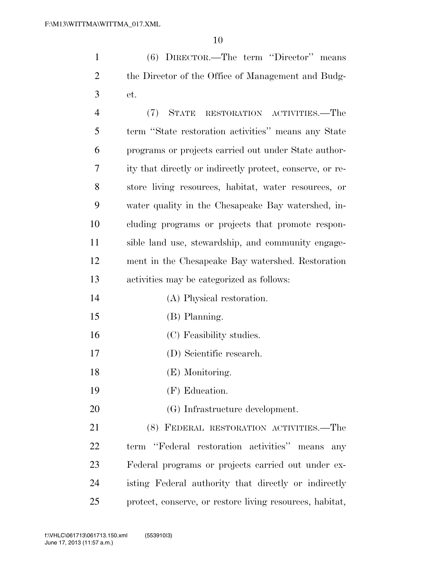(6) DIRECTOR.—The term ''Director'' means the Director of the Office of Management and Budg-et.

 (7) STATE RESTORATION ACTIVITIES.—The term ''State restoration activities'' means any State programs or projects carried out under State author- ity that directly or indirectly protect, conserve, or re- store living resources, habitat, water resources, or water quality in the Chesapeake Bay watershed, in- cluding programs or projects that promote respon- sible land use, stewardship, and community engage- ment in the Chesapeake Bay watershed. Restoration activities may be categorized as follows: (A) Physical restoration.

- (B) Planning.
- (C) Feasibility studies.
- (D) Scientific research.
- (E) Monitoring.
- (F) Education.
- (G) Infrastructure development.

 (8) FEDERAL RESTORATION ACTIVITIES.—The term ''Federal restoration activities'' means any Federal programs or projects carried out under ex- isting Federal authority that directly or indirectly protect, conserve, or restore living resources, habitat,